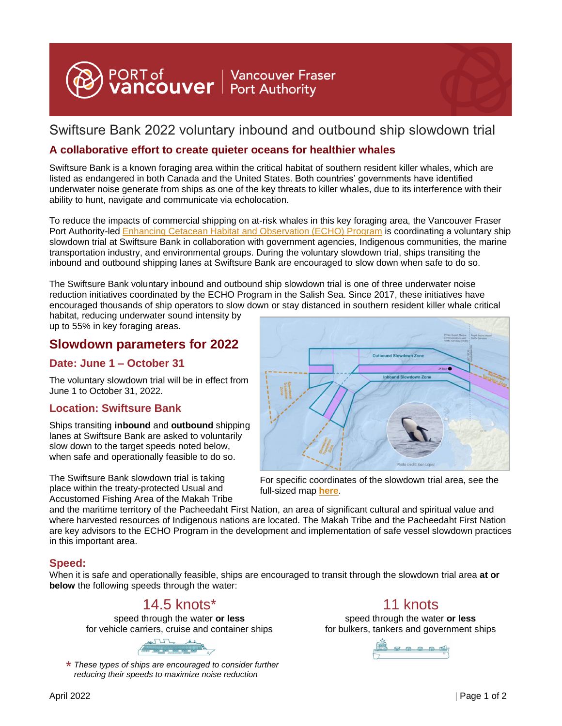

# Swiftsure Bank 2022 voluntary inbound and outbound ship slowdown trial

#### **A collaborative effort to create quieter oceans for healthier whales**

Swiftsure Bank is a known foraging area within the critical habitat of southern resident killer whales, which are listed as endangered in both Canada and the United States. Both countries' governments have identified underwater noise generate from ships as one of the key threats to killer whales, due to its interference with their ability to hunt, navigate and communicate via echolocation.

To reduce the impacts of commercial shipping on at-risk whales in this key foraging area, the Vancouver Fraser Port Authority-led [Enhancing Cetacean Habitat and Observation \(ECHO\) Program](https://www.portvancouver.com/environmental-protection-at-the-port-of-vancouver/maintaining-healthy-ecosystems-throughout-our-jurisdiction/echo-program/projects) is coordinating a voluntary ship slowdown trial at Swiftsure Bank in collaboration with government agencies, Indigenous communities, the marine transportation industry, and environmental groups. During the voluntary slowdown trial, ships transiting the inbound and outbound shipping lanes at Swiftsure Bank are encouraged to slow down when safe to do so.

The Swiftsure Bank voluntary inbound and outbound ship slowdown trial is one of three underwater noise reduction initiatives coordinated by the ECHO Program in the Salish Sea. Since 2017, these initiatives have encouraged thousands of ship operators to slow down or stay distanced in southern resident killer whale critical habitat, reducing underwater sound intensity by

up to 55% in key foraging areas.

### **Slowdown parameters for 2022**

#### **Date: June 1 – October 31**

The voluntary slowdown trial will be in effect from June 1 to October 31, 2022.

#### **Location: Swiftsure Bank**

Ships transiting **inbound** and **outbound** shipping lanes at Swiftsure Bank are asked to voluntarily slow down to the target speeds noted below, when safe and operationally feasible to do so.

The Swiftsure Bank slowdown trial is taking place within the treaty-protected Usual and Accustomed Fishing Area of the Makah Tribe



For specific coordinates of the slowdown trial area, see the full-sized map **[here](https://www.portvancouver.com/wp-content/uploads/2022/04/Swiftsure-Bank-Trial-Coordinates-scaled.jpg)**.

and the maritime territory of the Pacheedaht First Nation, an area of significant cultural and spiritual value and where harvested resources of Indigenous nations are located. The Makah Tribe and the Pacheedaht First Nation are key advisors to the ECHO Program in the development and implementation of safe vessel slowdown practices in this important area.

#### **Speed:**

When it is safe and operationally feasible, ships are encouraged to transit through the slowdown trial area **at or below** the following speeds through the water:

## 14.5 knots\* 11 knots

speed through the water **or less** for vehicle carriers, cruise and container ships



*These types of ships are encouraged to consider further*  \* *reducing their speeds to maximize noise reduction*

speed through the water **or less** for bulkers, tankers and government ships